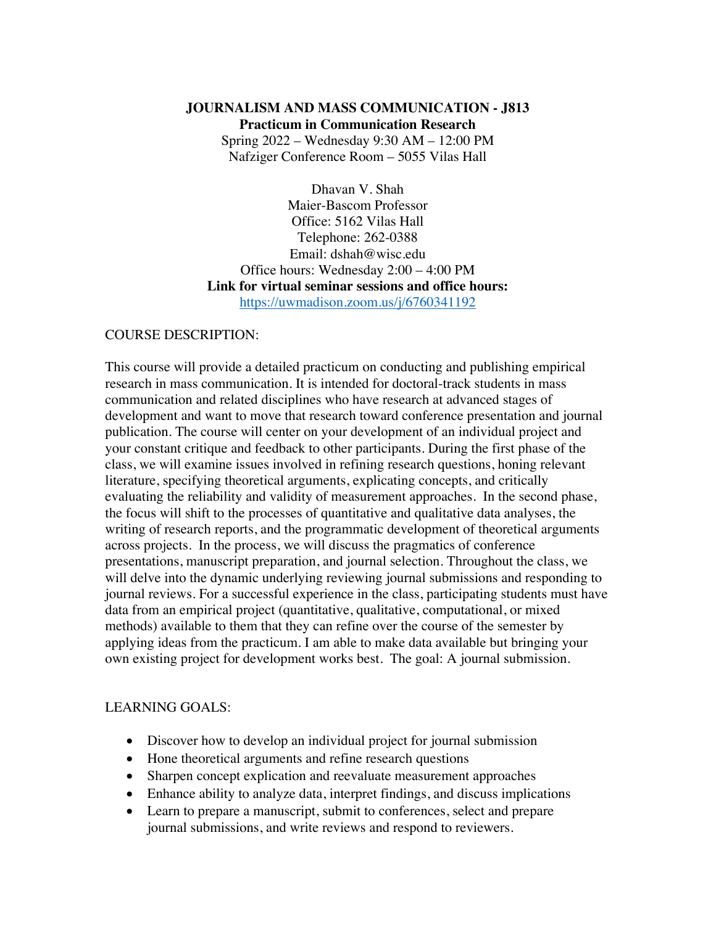# **JOURNALISM AND MASS COMMUNICATION - J813 Practicum in Communication Research**

Spring 2022 – Wednesday 9:30 AM – 12:00 PM Nafziger Conference Room – 5055 Vilas Hall

Dhavan V. Shah Maier-Bascom Professor Office: 5162 Vilas Hall Telephone: 262-0388 Email: dshah@wisc.edu Office hours: Wednesday 2:00 – 4:00 PM **Link for virtual seminar sessions and office hours:** https://uwmadison.zoom.us/j/6760341192

### COURSE DESCRIPTION:

This course will provide a detailed practicum on conducting and publishing empirical research in mass communication. It is intended for doctoral-track students in mass communication and related disciplines who have research at advanced stages of development and want to move that research toward conference presentation and journal publication. The course will center on your development of an individual project and your constant critique and feedback to other participants. During the first phase of the class, we will examine issues involved in refining research questions, honing relevant literature, specifying theoretical arguments, explicating concepts, and critically evaluating the reliability and validity of measurement approaches. In the second phase, the focus will shift to the processes of quantitative and qualitative data analyses, the writing of research reports, and the programmatic development of theoretical arguments across projects. In the process, we will discuss the pragmatics of conference presentations, manuscript preparation, and journal selection. Throughout the class, we will delve into the dynamic underlying reviewing journal submissions and responding to journal reviews. For a successful experience in the class, participating students must have data from an empirical project (quantitative, qualitative, computational, or mixed methods) available to them that they can refine over the course of the semester by applying ideas from the practicum. I am able to make data available but bringing your own existing project for development works best. The goal: A journal submission.

#### LEARNING GOALS:

- Discover how to develop an individual project for journal submission
- Hone theoretical arguments and refine research questions
- Sharpen concept explication and reevaluate measurement approaches
- Enhance ability to analyze data, interpret findings, and discuss implications
- Learn to prepare a manuscript, submit to conferences, select and prepare journal submissions, and write reviews and respond to reviewers.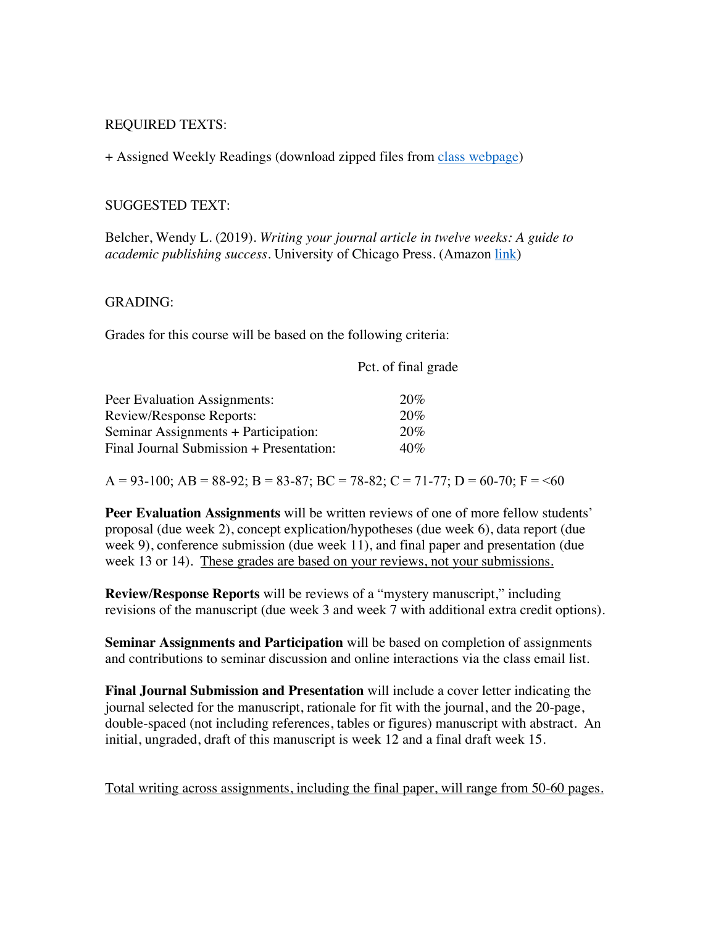#### REQUIRED TEXTS:

+ Assigned Weekly Readings (download zipped files from class webpage)

#### SUGGESTED TEXT:

Belcher, Wendy L. (2019). *Writing your journal article in twelve weeks: A guide to academic publishing success*. University of Chicago Press. (Amazon link)

#### GRADING:

Grades for this course will be based on the following criteria:

Pct. of final grade

| Peer Evaluation Assignments:             | 20% |
|------------------------------------------|-----|
| Review/Response Reports:                 | 20% |
| Seminar Assignments + Participation:     | 20% |
| Final Journal Submission + Presentation: | 40% |

 $A = 93-100$ ;  $AB = 88-92$ ;  $B = 83-87$ ;  $BC = 78-82$ ;  $C = 71-77$ ;  $D = 60-70$ ;  $F = 60$ 

**Peer Evaluation Assignments** will be written reviews of one of more fellow students' proposal (due week 2), concept explication/hypotheses (due week 6), data report (due week 9), conference submission (due week 11), and final paper and presentation (due week 13 or 14). These grades are based on your reviews, not your submissions.

**Review/Response Reports** will be reviews of a "mystery manuscript," including revisions of the manuscript (due week 3 and week 7 with additional extra credit options).

**Seminar Assignments and Participation** will be based on completion of assignments and contributions to seminar discussion and online interactions via the class email list.

**Final Journal Submission and Presentation** will include a cover letter indicating the journal selected for the manuscript, rationale for fit with the journal, and the 20-page, double-spaced (not including references, tables or figures) manuscript with abstract. An initial, ungraded, draft of this manuscript is week 12 and a final draft week 15.

Total writing across assignments, including the final paper, will range from 50-60 pages.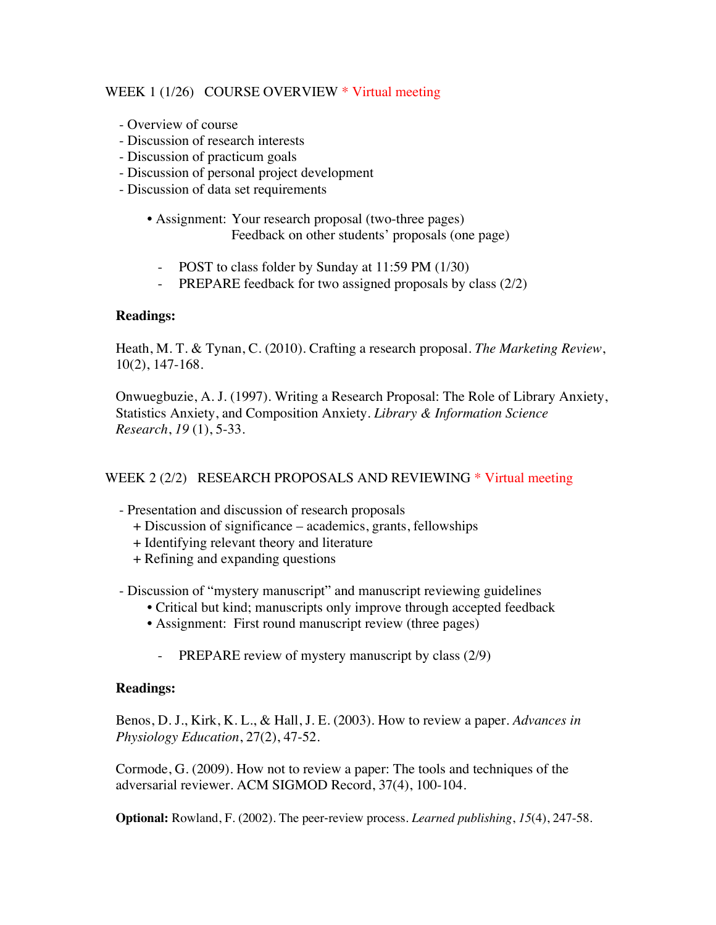## WEEK 1 (1/26) COURSE OVERVIEW \* Virtual meeting

- Overview of course
- Discussion of research interests
- Discussion of practicum goals
- Discussion of personal project development
- Discussion of data set requirements
	- Assignment: Your research proposal (two-three pages) Feedback on other students' proposals (one page)
		- POST to class folder by Sunday at 11:59 PM (1/30)
		- PREPARE feedback for two assigned proposals by class (2/2)

### **Readings:**

Heath, M. T. & Tynan, C. (2010). Crafting a research proposal. *The Marketing Review*, 10(2), 147-168.

Onwuegbuzie, A. J. (1997). Writing a Research Proposal: The Role of Library Anxiety, Statistics Anxiety, and Composition Anxiety. *Library & Information Science Research*, *19* (1), 5-33.

### WEEK 2 (2/2) RESEARCH PROPOSALS AND REVIEWING \* Virtual meeting

- Presentation and discussion of research proposals
	- + Discussion of significance academics, grants, fellowships
	- + Identifying relevant theory and literature
	- + Refining and expanding questions

- Discussion of "mystery manuscript" and manuscript reviewing guidelines

- Critical but kind; manuscripts only improve through accepted feedback
- Assignment: First round manuscript review (three pages)
	- PREPARE review of mystery manuscript by class (2/9)

### **Readings:**

Benos, D. J., Kirk, K. L., & Hall, J. E. (2003). How to review a paper. *Advances in Physiology Education*, 27(2), 47-52.

Cormode, G. (2009). How not to review a paper: The tools and techniques of the adversarial reviewer. ACM SIGMOD Record, 37(4), 100-104.

**Optional:** Rowland, F. (2002). The peer-review process. *Learned publishing*, *15*(4), 247-58.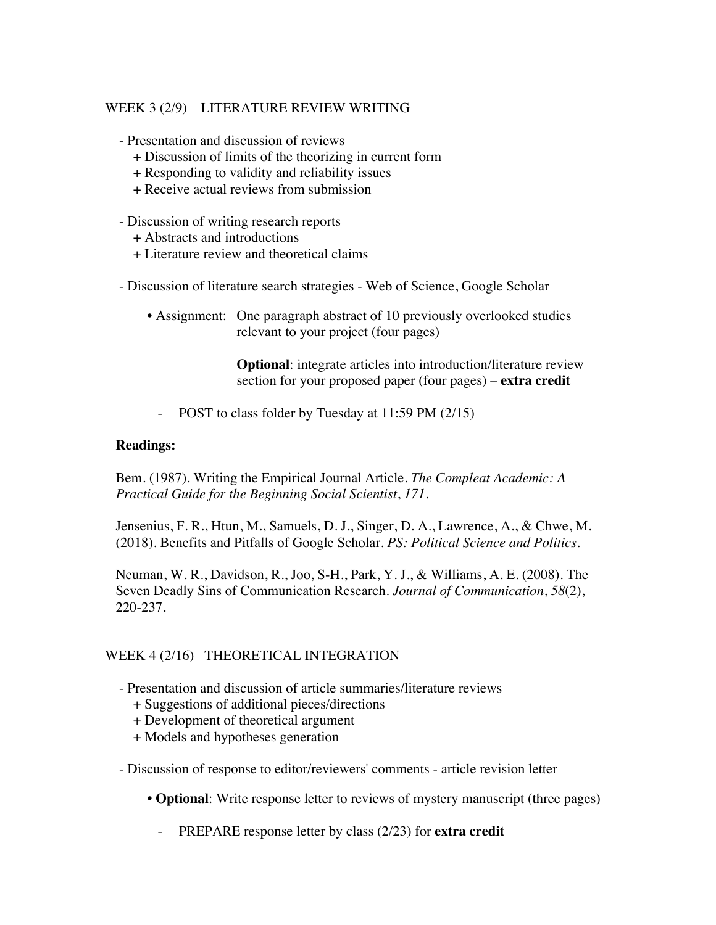# WEEK 3 (2/9) LITERATURE REVIEW WRITING

- Presentation and discussion of reviews

- + Discussion of limits of the theorizing in current form
- + Responding to validity and reliability issues
- + Receive actual reviews from submission
- Discussion of writing research reports
	- + Abstracts and introductions
	- + Literature review and theoretical claims
- Discussion of literature search strategies Web of Science, Google Scholar
	- Assignment: One paragraph abstract of 10 previously overlooked studies relevant to your project (four pages)

**Optional**: integrate articles into introduction/literature review section for your proposed paper (four pages) – **extra credit**

- POST to class folder by Tuesday at 11:59 PM (2/15)

#### **Readings:**

Bem. (1987). Writing the Empirical Journal Article. *The Compleat Academic: A Practical Guide for the Beginning Social Scientist*, *171.*

Jensenius, F. R., Htun, M., Samuels, D. J., Singer, D. A., Lawrence, A., & Chwe, M. (2018). Benefits and Pitfalls of Google Scholar. *PS: Political Science and Politics*.

Neuman, W. R., Davidson, R., Joo, S-H., Park, Y. J., & Williams, A. E. (2008). The Seven Deadly Sins of Communication Research. *Journal of Communication*, *58*(2), 220-237.

### WEEK 4 (2/16) THEORETICAL INTEGRATION

- Presentation and discussion of article summaries/literature reviews
	- + Suggestions of additional pieces/directions
	- + Development of theoretical argument
	- + Models and hypotheses generation

- Discussion of response to editor/reviewers' comments - article revision letter

- **Optional**: Write response letter to reviews of mystery manuscript (three pages)
	- PREPARE response letter by class (2/23) for **extra credit**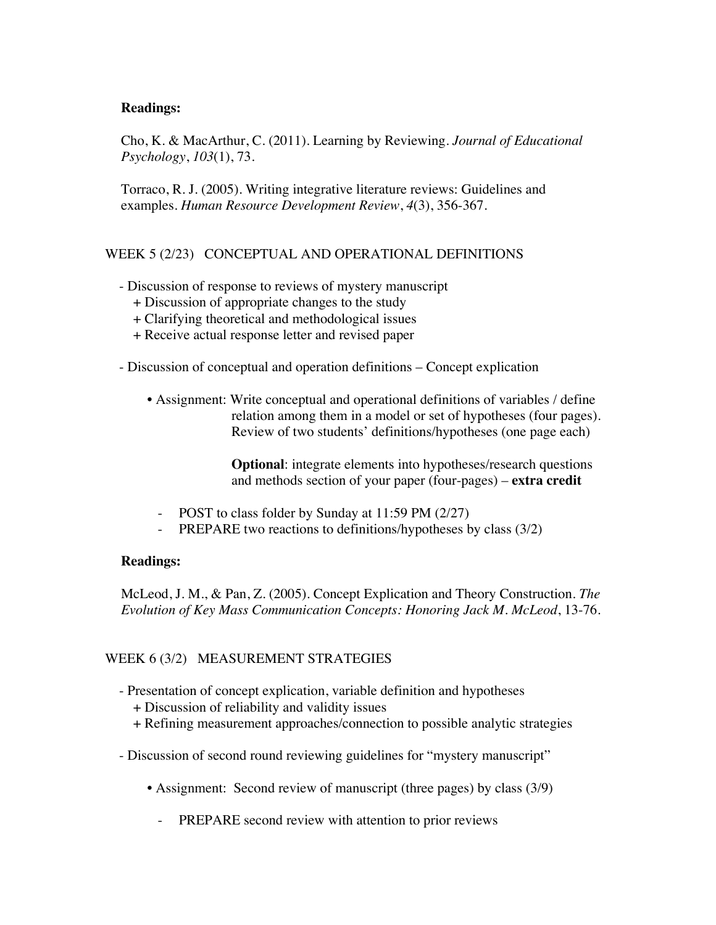### **Readings:**

Cho, K. & MacArthur, C. (2011). Learning by Reviewing. *Journal of Educational Psychology*, *103*(1), 73.

Torraco, R. J. (2005). Writing integrative literature reviews: Guidelines and examples. *Human Resource Development Review*, *4*(3), 356-367.

# WEEK 5 (2/23) CONCEPTUAL AND OPERATIONAL DEFINITIONS

- Discussion of response to reviews of mystery manuscript
	- + Discussion of appropriate changes to the study
	- + Clarifying theoretical and methodological issues
	- + Receive actual response letter and revised paper
- Discussion of conceptual and operation definitions Concept explication
	- Assignment: Write conceptual and operational definitions of variables / define relation among them in a model or set of hypotheses (four pages). Review of two students' definitions/hypotheses (one page each)

**Optional**: integrate elements into hypotheses/research questions and methods section of your paper (four-pages) – **extra credit**

- POST to class folder by Sunday at 11:59 PM (2/27)
- PREPARE two reactions to definitions/hypotheses by class (3/2)

### **Readings:**

McLeod, J. M., & Pan, Z. (2005). Concept Explication and Theory Construction. *The Evolution of Key Mass Communication Concepts: Honoring Jack M. McLeod*, 13-76.

# WEEK 6 (3/2) MEASUREMENT STRATEGIES

- Presentation of concept explication, variable definition and hypotheses
	- + Discussion of reliability and validity issues
	- + Refining measurement approaches/connection to possible analytic strategies
- Discussion of second round reviewing guidelines for "mystery manuscript"
	- Assignment: Second review of manuscript (three pages) by class (3/9)
		- PREPARE second review with attention to prior reviews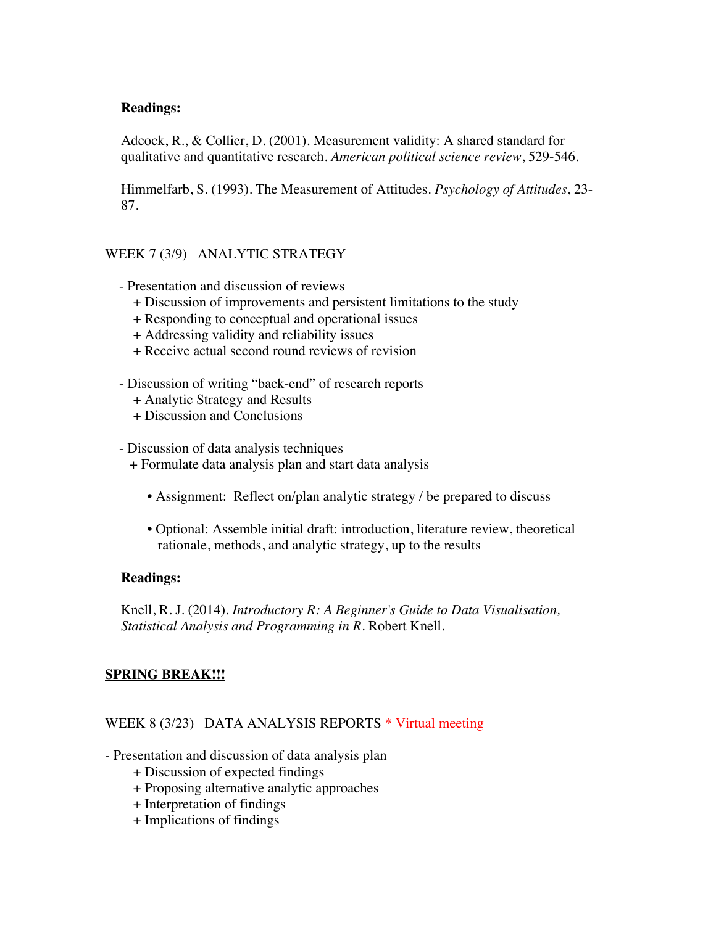### **Readings:**

Adcock, R., & Collier, D. (2001). Measurement validity: A shared standard for qualitative and quantitative research. *American political science review*, 529-546.

Himmelfarb, S. (1993). The Measurement of Attitudes. *Psychology of Attitudes*, 23- 87.

# WEEK 7 (3/9) ANALYTIC STRATEGY

- Presentation and discussion of reviews
	- + Discussion of improvements and persistent limitations to the study
	- + Responding to conceptual and operational issues
	- + Addressing validity and reliability issues
	- + Receive actual second round reviews of revision
- Discussion of writing "back-end" of research reports
	- + Analytic Strategy and Results
	- + Discussion and Conclusions
- Discussion of data analysis techniques
	- + Formulate data analysis plan and start data analysis
		- Assignment: Reflect on/plan analytic strategy / be prepared to discuss
		- Optional: Assemble initial draft: introduction, literature review, theoretical rationale, methods, and analytic strategy, up to the results

### **Readings:**

Knell, R. J. (2014). *Introductory R: A Beginner's Guide to Data Visualisation, Statistical Analysis and Programming in R*. Robert Knell.

# **SPRING BREAK!!!**

### WEEK 8 (3/23) DATA ANALYSIS REPORTS \* Virtual meeting

- Presentation and discussion of data analysis plan
	- + Discussion of expected findings
	- + Proposing alternative analytic approaches
	- + Interpretation of findings
	- + Implications of findings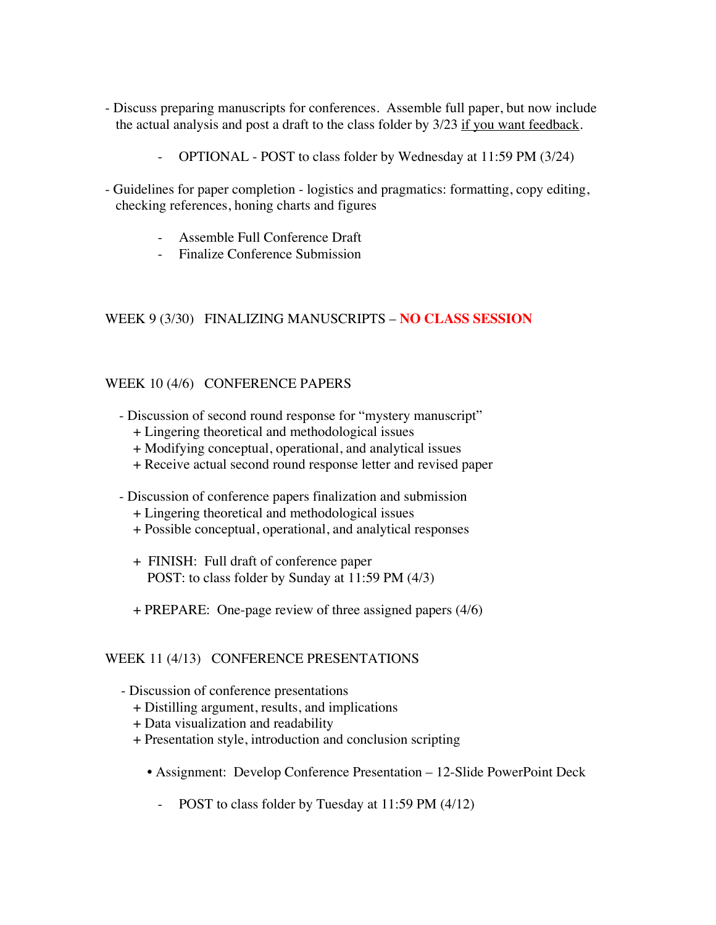- Discuss preparing manuscripts for conferences. Assemble full paper, but now include the actual analysis and post a draft to the class folder by 3/23 if you want feedback.
	- OPTIONAL POST to class folder by Wednesday at 11:59 PM (3/24)
- Guidelines for paper completion logistics and pragmatics: formatting, copy editing, checking references, honing charts and figures
	- Assemble Full Conference Draft
	- Finalize Conference Submission

### WEEK 9 (3/30) FINALIZING MANUSCRIPTS – **NO CLASS SESSION**

#### WEEK 10 (4/6) CONFERENCE PAPERS

- Discussion of second round response for "mystery manuscript"
	- + Lingering theoretical and methodological issues
	- + Modifying conceptual, operational, and analytical issues
	- + Receive actual second round response letter and revised paper
- Discussion of conference papers finalization and submission
	- + Lingering theoretical and methodological issues
	- + Possible conceptual, operational, and analytical responses
	- + FINISH: Full draft of conference paper POST: to class folder by Sunday at 11:59 PM (4/3)
	- + PREPARE: One-page review of three assigned papers (4/6)

### WEEK 11 (4/13) CONFERENCE PRESENTATIONS

- Discussion of conference presentations
	- + Distilling argument, results, and implications
	- + Data visualization and readability
	- + Presentation style, introduction and conclusion scripting
		- Assignment: Develop Conference Presentation 12-Slide PowerPoint Deck
			- POST to class folder by Tuesday at 11:59 PM (4/12)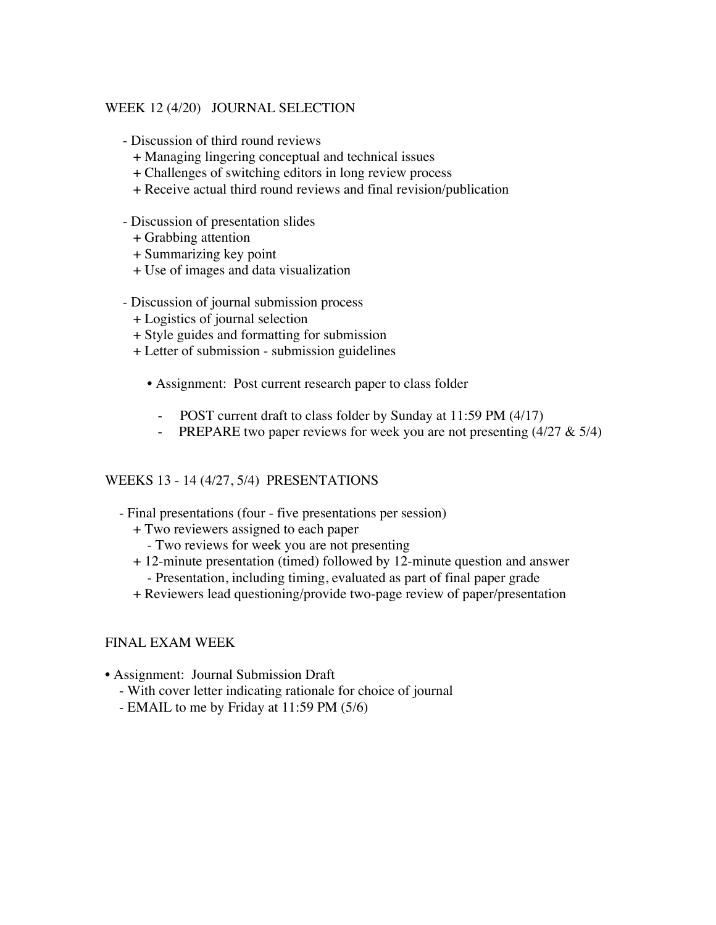## WEEK 12 (4/20) JOURNAL SELECTION

- Discussion of third round reviews
	- + Managing lingering conceptual and technical issues
	- + Challenges of switching editors in long review process
	- + Receive actual third round reviews and final revision/publication
- Discussion of presentation slides
	- + Grabbing attention
	- + Summarizing key point
	- + Use of images and data visualization
- Discussion of journal submission process
	- + Logistics of journal selection
	- + Style guides and formatting for submission
	- + Letter of submission submission guidelines
		- Assignment: Post current research paper to class folder
			- POST current draft to class folder by Sunday at 11:59 PM (4/17)
			- PREPARE two paper reviews for week you are not presenting  $(4/27 \& 5/4)$

### WEEKS 13 - 14 (4/27, 5/4) PRESENTATIONS

- Final presentations (four five presentations per session)
	- + Two reviewers assigned to each paper
		- Two reviews for week you are not presenting
	- + 12-minute presentation (timed) followed by 12-minute question and answer - Presentation, including timing, evaluated as part of final paper grade
	- + Reviewers lead questioning/provide two-page review of paper/presentation

### FINAL EXAM WEEK

- Assignment: Journal Submission Draft
	- With cover letter indicating rationale for choice of journal
	- EMAIL to me by Friday at 11:59 PM (5/6)